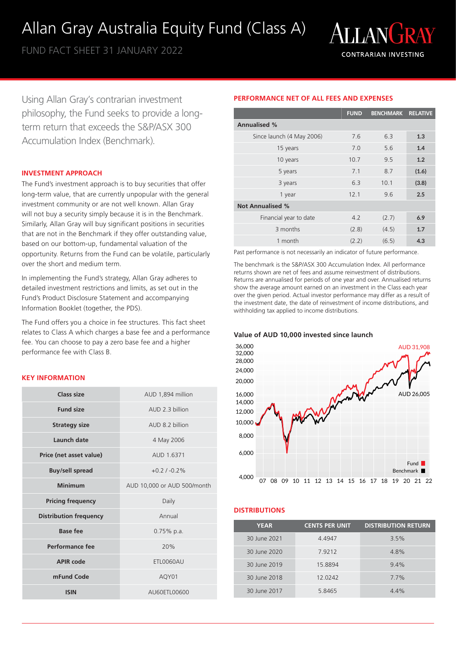# Allan Gray Australia Equity Fund (Class A)

FUND FACT SHEET 31 JANUARY 2022



Using Allan Gray's contrarian investment philosophy, the Fund seeks to provide a longterm return that exceeds the S&P/ASX 300 Accumulation Index (Benchmark).

# **INVESTMENT APPROACH**

The Fund's investment approach is to buy securities that offer long-term value, that are currently unpopular with the general investment community or are not well known. Allan Gray will not buy a security simply because it is in the Benchmark. Similarly, Allan Gray will buy significant positions in securities that are not in the Benchmark if they offer outstanding value, based on our bottom-up, fundamental valuation of the opportunity. Returns from the Fund can be volatile, particularly over the short and medium term.

In implementing the Fund's strategy, Allan Gray adheres to detailed investment restrictions and limits, as set out in the Fund's Product Disclosure Statement and accompanying Information Booklet (together, the PDS).

The Fund offers you a choice in fee structures. This fact sheet relates to Class A which charges a base fee and a performance fee. You can choose to pay a zero base fee and a higher performance fee with Class B.

# **KEY INFORMATION**

| Class size                    | AUD 1,894 million           |
|-------------------------------|-----------------------------|
| <b>Fund size</b>              | AUD 2.3 billion             |
| <b>Strategy size</b>          | AUD 8.2 billion             |
| Launch date                   | 4 May 2006                  |
| Price (net asset value)       | AUD 1.6371                  |
| <b>Buy/sell spread</b>        | $+0.21 - 0.2%$              |
| Minimum                       | AUD 10,000 or AUD 500/month |
| <b>Pricing frequency</b>      | Daily                       |
| <b>Distribution frequency</b> | Annual                      |
| Base fee                      | $0.75\%$ p.a.               |
| Performance fee               | 20%                         |
| <b>APIR code</b>              | ETL0060AU                   |
| mFund Code                    | AQY01                       |
| <b>ISIN</b>                   | AU60ETL00600                |

# **PERFORMANCE NET OF ALL FEES AND EXPENSES**

|                           | <b>FUND</b> | <b>BENCHMARK</b> | <b>RELATIVE</b> |
|---------------------------|-------------|------------------|-----------------|
| <b>Annualised %</b>       |             |                  |                 |
| Since launch (4 May 2006) | 7.6         | 6.3              | 1.3             |
| 15 years                  | 7.0         | 5.6              | 1.4             |
| 10 years                  | 10.7        | 9.5              | 1.2             |
| 5 years                   | 7.1         | 8.7              | (1.6)           |
| 3 years                   | 6.3         | 10.1             | (3.8)           |
| 1 year                    | 12.1        | 9.6              | 2.5             |
| <b>Not Annualised %</b>   |             |                  |                 |
| Financial year to date    | 4.2         | (2.7)            | 6.9             |
| 3 months                  | (2.8)       | (4.5)            | 1.7             |
| 1 month                   | (2.2)       | (6.5)            | 4.3             |

Past performance is not necessarily an indicator of future performance.

The benchmark is the S&P/ASX 300 Accumulation Index. All performance returns shown are net of fees and assume reinvestment of distributions. Returns are annualised for periods of one year and over. Annualised returns show the average amount earned on an investment in the Class each year over the given period. Actual investor performance may differ as a result of the investment date, the date of reinvestment of income distributions, and withholding tax applied to income distributions.

## **Value of AUD 10,000 invested since launch**



# **DISTRIBUTIONS**

| <b>YEAR</b>  | <b>CENTS PER UNIT</b> | <b>DISTRIBUTION RETURN</b> |
|--------------|-----------------------|----------------------------|
| 30 June 2021 | 4.4947                | 3.5%                       |
| 30 June 2020 | 7.9212                | 4.8%                       |
| 30 June 2019 | 15.8894               | $9.4\%$                    |
| 30 June 2018 | 12.0242               | 7.7%                       |
| 30 June 2017 | 5.8465                | 44%                        |